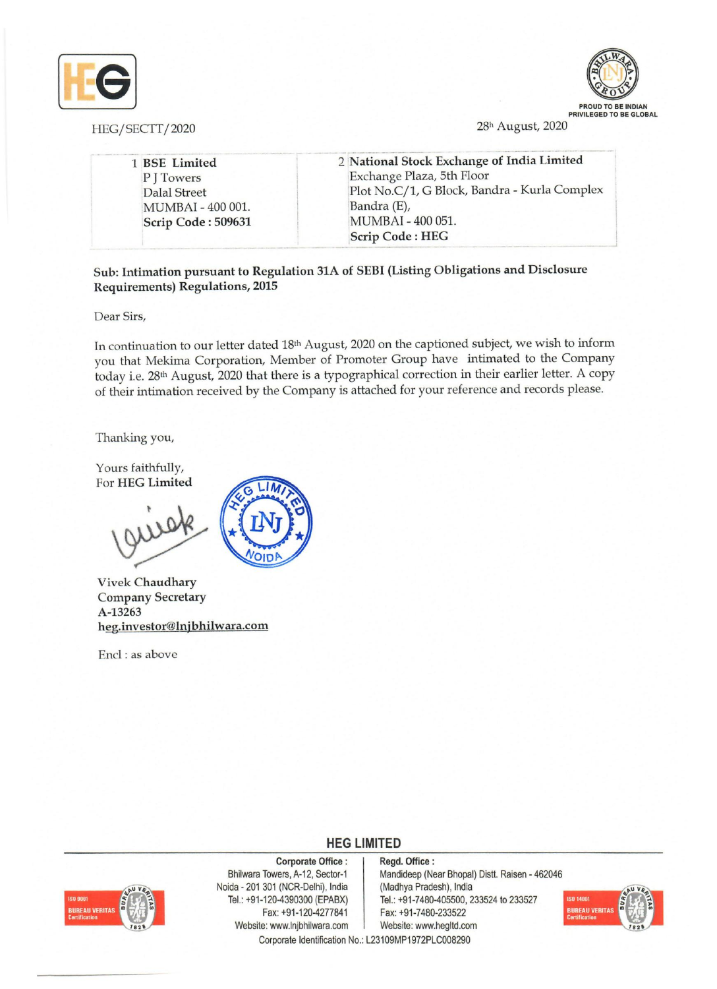

HEG/SECTT/2020



28h August, 2020

- -"- --. \_ .. - - - -- \_\_ . - -- --,-\_,\_,,"\_ --- \_., \_--- \_ ---- - -- -- \_- \_\_ . -- .-- .. -- -\_ .. \_----- --\_- -- --- 1 BSE Limited P J Towers Dalal Street :MUMBAI - 400 001. Scrip Code: 509631 2 National Stock Exchange of India Limited Exchange Plaza, 5th Floor [Plot *No.C/1,* G Block, Bandra - Kurla Complex Bandra (E), IMUMBAI - 400 051. Scrip Code: HEG

Sub: Intimation pursuant to Regulation 31A of SEBI (Listing Obligations and Disclosure Requirements) Regulations, 2015

Dear Sirs,

In continuation to our letter dated 18th August, 2020 on the captioned subject, we wish to inform you that Mekima Corporation, Member of Promoter Group have intimated to the Company today i.e. 28th August, 2020 that there is a typographical correction in their earlier letter. A copy of their intimation received by the Company is attached for your reference and records please.

Thanking you,

Yours faithfully, For HEG Limited



Vivek Chaudhary Company Secretary A-13263 heg.investor@lnjbhilwara.com

Encl: as above

## **HEG LIMITED**



Corporate Office: Bhilwara Towers, A-12, Sector-1 Noida - 201 301 (NCR-Delhi), India Tel.: +91-120-4390300 (EPABX) Fax: +91-120-4277841 Website: www.lnjbhilwara.com | Website: www.hegltd.com

Regd. Office: Mandideep (Near Bhopal) Distt. Raisen - 462046 (Madhya Pradesh), India Tel.: +91-7480-405500, 233524 to 233527 Fax: +91-7480-233522



Corporate Identification No.: L23109MP1972PLC008290